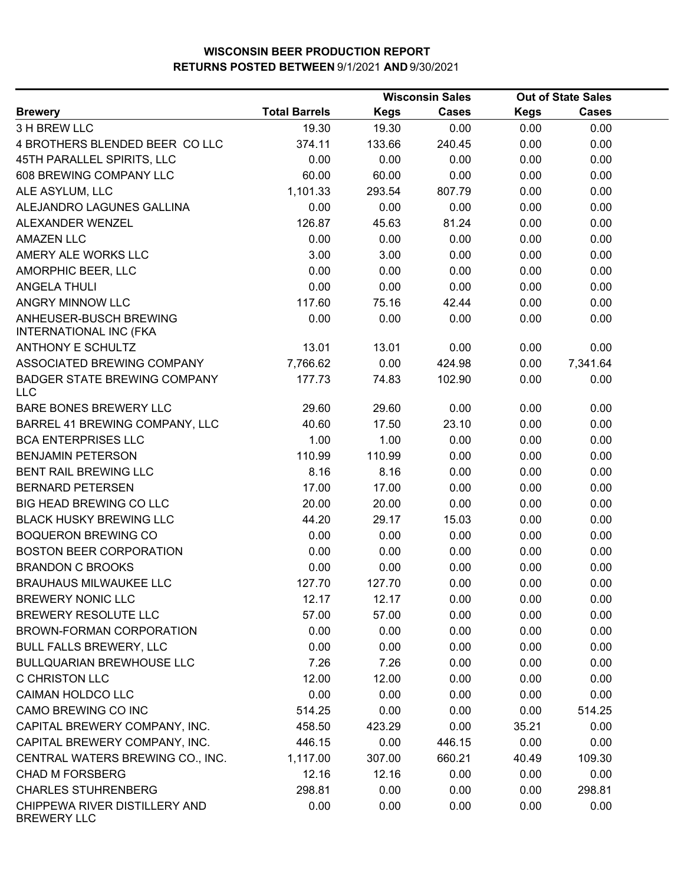|                                                         |                      |             | <b>Wisconsin Sales</b> |             | <b>Out of State Sales</b> |  |
|---------------------------------------------------------|----------------------|-------------|------------------------|-------------|---------------------------|--|
| <b>Brewery</b>                                          | <b>Total Barrels</b> | <b>Kegs</b> | Cases                  | <b>Kegs</b> | <b>Cases</b>              |  |
| 3 H BREW LLC                                            | 19.30                | 19.30       | 0.00                   | 0.00        | 0.00                      |  |
| 4 BROTHERS BLENDED BEER COLLC                           | 374.11               | 133.66      | 240.45                 | 0.00        | 0.00                      |  |
| 45TH PARALLEL SPIRITS, LLC                              | 0.00                 | 0.00        | 0.00                   | 0.00        | 0.00                      |  |
| 608 BREWING COMPANY LLC                                 | 60.00                | 60.00       | 0.00                   | 0.00        | 0.00                      |  |
| ALE ASYLUM, LLC                                         | 1,101.33             | 293.54      | 807.79                 | 0.00        | 0.00                      |  |
| ALEJANDRO LAGUNES GALLINA                               | 0.00                 | 0.00        | 0.00                   | 0.00        | 0.00                      |  |
| ALEXANDER WENZEL                                        | 126.87               | 45.63       | 81.24                  | 0.00        | 0.00                      |  |
| <b>AMAZEN LLC</b>                                       | 0.00                 | 0.00        | 0.00                   | 0.00        | 0.00                      |  |
| AMERY ALE WORKS LLC                                     | 3.00                 | 3.00        | 0.00                   | 0.00        | 0.00                      |  |
| AMORPHIC BEER, LLC                                      | 0.00                 | 0.00        | 0.00                   | 0.00        | 0.00                      |  |
| <b>ANGELA THULI</b>                                     | 0.00                 | 0.00        | 0.00                   | 0.00        | 0.00                      |  |
| ANGRY MINNOW LLC                                        | 117.60               | 75.16       | 42.44                  | 0.00        | 0.00                      |  |
| ANHEUSER-BUSCH BREWING<br><b>INTERNATIONAL INC (FKA</b> | 0.00                 | 0.00        | 0.00                   | 0.00        | 0.00                      |  |
| ANTHONY E SCHULTZ                                       | 13.01                | 13.01       | 0.00                   | 0.00        | 0.00                      |  |
| ASSOCIATED BREWING COMPANY                              | 7,766.62             | 0.00        | 424.98                 | 0.00        | 7,341.64                  |  |
| <b>BADGER STATE BREWING COMPANY</b><br><b>LLC</b>       | 177.73               | 74.83       | 102.90                 | 0.00        | 0.00                      |  |
| <b>BARE BONES BREWERY LLC</b>                           | 29.60                | 29.60       | 0.00                   | 0.00        | 0.00                      |  |
| BARREL 41 BREWING COMPANY, LLC                          | 40.60                | 17.50       | 23.10                  | 0.00        | 0.00                      |  |
| <b>BCA ENTERPRISES LLC</b>                              | 1.00                 | 1.00        | 0.00                   | 0.00        | 0.00                      |  |
| <b>BENJAMIN PETERSON</b>                                | 110.99               | 110.99      | 0.00                   | 0.00        | 0.00                      |  |
| <b>BENT RAIL BREWING LLC</b>                            | 8.16                 | 8.16        | 0.00                   | 0.00        | 0.00                      |  |
| <b>BERNARD PETERSEN</b>                                 | 17.00                | 17.00       | 0.00                   | 0.00        | 0.00                      |  |
| BIG HEAD BREWING CO LLC                                 | 20.00                | 20.00       | 0.00                   | 0.00        | 0.00                      |  |
| <b>BLACK HUSKY BREWING LLC</b>                          | 44.20                | 29.17       | 15.03                  | 0.00        | 0.00                      |  |
| <b>BOQUERON BREWING CO</b>                              | 0.00                 | 0.00        | 0.00                   | 0.00        | 0.00                      |  |
| <b>BOSTON BEER CORPORATION</b>                          | 0.00                 | 0.00        | 0.00                   | 0.00        | 0.00                      |  |
| <b>BRANDON C BROOKS</b>                                 | 0.00                 | 0.00        | 0.00                   | 0.00        | 0.00                      |  |
| <b>BRAUHAUS MILWAUKEE LLC</b>                           | 127.70               | 127.70      | 0.00                   | 0.00        | 0.00                      |  |
| <b>BREWERY NONIC LLC</b>                                | 12.17                | 12.17       | 0.00                   | 0.00        | 0.00                      |  |
| BREWERY RESOLUTE LLC                                    | 57.00                | 57.00       | 0.00                   | 0.00        | 0.00                      |  |
| BROWN-FORMAN CORPORATION                                | 0.00                 | 0.00        | 0.00                   | 0.00        | 0.00                      |  |
| <b>BULL FALLS BREWERY, LLC</b>                          | 0.00                 | 0.00        | 0.00                   | 0.00        | 0.00                      |  |
| <b>BULLQUARIAN BREWHOUSE LLC</b>                        | 7.26                 | 7.26        | 0.00                   | 0.00        | 0.00                      |  |
| C CHRISTON LLC                                          | 12.00                | 12.00       | 0.00                   | 0.00        | 0.00                      |  |
| <b>CAIMAN HOLDCO LLC</b>                                | 0.00                 | 0.00        | 0.00                   | 0.00        | 0.00                      |  |
| CAMO BREWING CO INC                                     | 514.25               | 0.00        | 0.00                   | 0.00        | 514.25                    |  |
| CAPITAL BREWERY COMPANY, INC.                           | 458.50               | 423.29      | 0.00                   | 35.21       | 0.00                      |  |
| CAPITAL BREWERY COMPANY, INC.                           | 446.15               | 0.00        | 446.15                 | 0.00        | 0.00                      |  |
| CENTRAL WATERS BREWING CO., INC.                        | 1,117.00             | 307.00      | 660.21                 | 40.49       | 109.30                    |  |
| <b>CHAD M FORSBERG</b>                                  | 12.16                | 12.16       | 0.00                   | 0.00        | 0.00                      |  |
| <b>CHARLES STUHRENBERG</b>                              | 298.81               | 0.00        | 0.00                   | 0.00        | 298.81                    |  |
| CHIPPEWA RIVER DISTILLERY AND<br><b>BREWERY LLC</b>     | 0.00                 | 0.00        | 0.00                   | 0.00        | 0.00                      |  |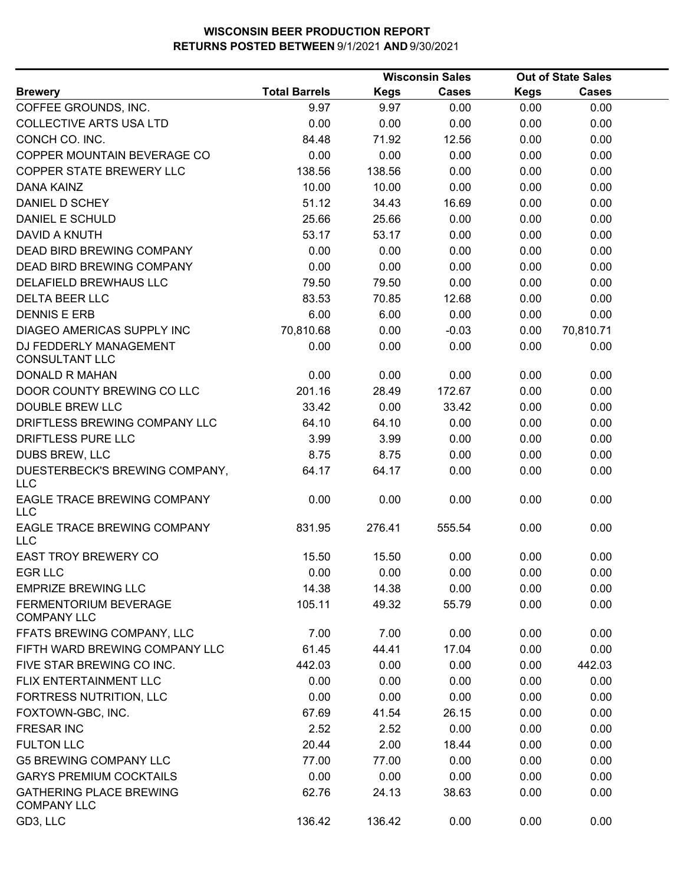|                                                      |                      |             | <b>Wisconsin Sales</b> |             | <b>Out of State Sales</b> |  |
|------------------------------------------------------|----------------------|-------------|------------------------|-------------|---------------------------|--|
| <b>Brewery</b>                                       | <b>Total Barrels</b> | <b>Kegs</b> | <b>Cases</b>           | <b>Kegs</b> | <b>Cases</b>              |  |
| COFFEE GROUNDS, INC.                                 | 9.97                 | 9.97        | 0.00                   | 0.00        | 0.00                      |  |
| <b>COLLECTIVE ARTS USA LTD</b>                       | 0.00                 | 0.00        | 0.00                   | 0.00        | 0.00                      |  |
| CONCH CO. INC.                                       | 84.48                | 71.92       | 12.56                  | 0.00        | 0.00                      |  |
| COPPER MOUNTAIN BEVERAGE CO                          | 0.00                 | 0.00        | 0.00                   | 0.00        | 0.00                      |  |
| <b>COPPER STATE BREWERY LLC</b>                      | 138.56               | 138.56      | 0.00                   | 0.00        | 0.00                      |  |
| <b>DANA KAINZ</b>                                    | 10.00                | 10.00       | 0.00                   | 0.00        | 0.00                      |  |
| DANIEL D SCHEY                                       | 51.12                | 34.43       | 16.69                  | 0.00        | 0.00                      |  |
| DANIEL E SCHULD                                      | 25.66                | 25.66       | 0.00                   | 0.00        | 0.00                      |  |
| <b>DAVID A KNUTH</b>                                 | 53.17                | 53.17       | 0.00                   | 0.00        | 0.00                      |  |
| DEAD BIRD BREWING COMPANY                            | 0.00                 | 0.00        | 0.00                   | 0.00        | 0.00                      |  |
| DEAD BIRD BREWING COMPANY                            | 0.00                 | 0.00        | 0.00                   | 0.00        | 0.00                      |  |
| DELAFIELD BREWHAUS LLC                               | 79.50                | 79.50       | 0.00                   | 0.00        | 0.00                      |  |
| <b>DELTA BEER LLC</b>                                | 83.53                | 70.85       | 12.68                  | 0.00        | 0.00                      |  |
| <b>DENNIS E ERB</b>                                  | 6.00                 | 6.00        | 0.00                   | 0.00        | 0.00                      |  |
| DIAGEO AMERICAS SUPPLY INC                           | 70,810.68            | 0.00        | $-0.03$                | 0.00        | 70,810.71                 |  |
| DJ FEDDERLY MANAGEMENT<br><b>CONSULTANT LLC</b>      | 0.00                 | 0.00        | 0.00                   | 0.00        | 0.00                      |  |
| <b>DONALD R MAHAN</b>                                | 0.00                 | 0.00        | 0.00                   | 0.00        | 0.00                      |  |
| DOOR COUNTY BREWING CO LLC                           | 201.16               | 28.49       | 172.67                 | 0.00        | 0.00                      |  |
| <b>DOUBLE BREW LLC</b>                               | 33.42                | 0.00        | 33.42                  | 0.00        | 0.00                      |  |
| DRIFTLESS BREWING COMPANY LLC                        | 64.10                | 64.10       | 0.00                   | 0.00        | 0.00                      |  |
| DRIFTLESS PURE LLC                                   | 3.99                 | 3.99        | 0.00                   | 0.00        | 0.00                      |  |
| DUBS BREW, LLC                                       | 8.75                 | 8.75        | 0.00                   | 0.00        | 0.00                      |  |
| DUESTERBECK'S BREWING COMPANY,<br><b>LLC</b>         | 64.17                | 64.17       | 0.00                   | 0.00        | 0.00                      |  |
| EAGLE TRACE BREWING COMPANY<br><b>LLC</b>            | 0.00                 | 0.00        | 0.00                   | 0.00        | 0.00                      |  |
| EAGLE TRACE BREWING COMPANY<br><b>LLC</b>            | 831.95               | 276.41      | 555.54                 | 0.00        | 0.00                      |  |
| <b>EAST TROY BREWERY CO</b>                          | 15.50                | 15.50       | 0.00                   | 0.00        | 0.00                      |  |
| <b>EGR LLC</b>                                       | 0.00                 | 0.00        | 0.00                   | 0.00        | 0.00                      |  |
| <b>EMPRIZE BREWING LLC</b>                           | 14.38                | 14.38       | 0.00                   | 0.00        | 0.00                      |  |
| FERMENTORIUM BEVERAGE<br><b>COMPANY LLC</b>          | 105.11               | 49.32       | 55.79                  | 0.00        | 0.00                      |  |
| FFATS BREWING COMPANY, LLC                           | 7.00                 | 7.00        | 0.00                   | 0.00        | 0.00                      |  |
| FIFTH WARD BREWING COMPANY LLC                       | 61.45                | 44.41       | 17.04                  | 0.00        | 0.00                      |  |
| FIVE STAR BREWING CO INC.                            | 442.03               | 0.00        | 0.00                   | 0.00        | 442.03                    |  |
| FLIX ENTERTAINMENT LLC                               | 0.00                 | 0.00        | 0.00                   | 0.00        | 0.00                      |  |
| FORTRESS NUTRITION, LLC                              | 0.00                 | 0.00        | 0.00                   | 0.00        | 0.00                      |  |
| FOXTOWN-GBC, INC.                                    | 67.69                | 41.54       | 26.15                  | 0.00        | 0.00                      |  |
| <b>FRESAR INC</b>                                    | 2.52                 | 2.52        | 0.00                   | 0.00        | 0.00                      |  |
| <b>FULTON LLC</b>                                    | 20.44                | 2.00        | 18.44                  | 0.00        | 0.00                      |  |
| <b>G5 BREWING COMPANY LLC</b>                        | 77.00                | 77.00       | 0.00                   | 0.00        | 0.00                      |  |
| <b>GARYS PREMIUM COCKTAILS</b>                       | 0.00                 | 0.00        | 0.00                   | 0.00        | 0.00                      |  |
| <b>GATHERING PLACE BREWING</b><br><b>COMPANY LLC</b> | 62.76                | 24.13       | 38.63                  | 0.00        | 0.00                      |  |
| GD3, LLC                                             | 136.42               | 136.42      | 0.00                   | 0.00        | 0.00                      |  |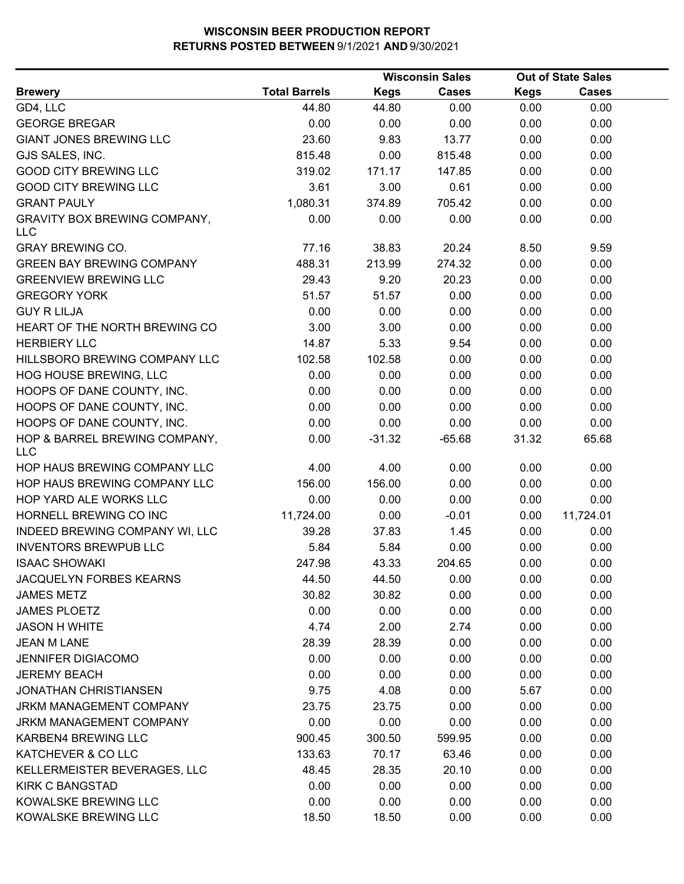|                                                   |                      |             | <b>Wisconsin Sales</b> |             | <b>Out of State Sales</b> |  |
|---------------------------------------------------|----------------------|-------------|------------------------|-------------|---------------------------|--|
| <b>Brewery</b>                                    | <b>Total Barrels</b> | <b>Kegs</b> | <b>Cases</b>           | <b>Kegs</b> | <b>Cases</b>              |  |
| GD4, LLC                                          | 44.80                | 44.80       | 0.00                   | 0.00        | 0.00                      |  |
| <b>GEORGE BREGAR</b>                              | 0.00                 | 0.00        | 0.00                   | 0.00        | 0.00                      |  |
| <b>GIANT JONES BREWING LLC</b>                    | 23.60                | 9.83        | 13.77                  | 0.00        | 0.00                      |  |
| GJS SALES, INC.                                   | 815.48               | 0.00        | 815.48                 | 0.00        | 0.00                      |  |
| <b>GOOD CITY BREWING LLC</b>                      | 319.02               | 171.17      | 147.85                 | 0.00        | 0.00                      |  |
| <b>GOOD CITY BREWING LLC</b>                      | 3.61                 | 3.00        | 0.61                   | 0.00        | 0.00                      |  |
| <b>GRANT PAULY</b>                                | 1,080.31             | 374.89      | 705.42                 | 0.00        | 0.00                      |  |
| <b>GRAVITY BOX BREWING COMPANY,</b><br><b>LLC</b> | 0.00                 | 0.00        | 0.00                   | 0.00        | 0.00                      |  |
| <b>GRAY BREWING CO.</b>                           | 77.16                | 38.83       | 20.24                  | 8.50        | 9.59                      |  |
| <b>GREEN BAY BREWING COMPANY</b>                  | 488.31               | 213.99      | 274.32                 | 0.00        | 0.00                      |  |
| <b>GREENVIEW BREWING LLC</b>                      | 29.43                | 9.20        | 20.23                  | 0.00        | 0.00                      |  |
| <b>GREGORY YORK</b>                               | 51.57                | 51.57       | 0.00                   | 0.00        | 0.00                      |  |
| <b>GUY R LILJA</b>                                | 0.00                 | 0.00        | 0.00                   | 0.00        | 0.00                      |  |
| HEART OF THE NORTH BREWING CO                     | 3.00                 | 3.00        | 0.00                   | 0.00        | 0.00                      |  |
| <b>HERBIERY LLC</b>                               | 14.87                | 5.33        | 9.54                   | 0.00        | 0.00                      |  |
| HILLSBORO BREWING COMPANY LLC                     | 102.58               | 102.58      | 0.00                   | 0.00        | 0.00                      |  |
| HOG HOUSE BREWING, LLC                            | 0.00                 | 0.00        | 0.00                   | 0.00        | 0.00                      |  |
| HOOPS OF DANE COUNTY, INC.                        | 0.00                 | 0.00        | 0.00                   | 0.00        | 0.00                      |  |
| HOOPS OF DANE COUNTY, INC.                        | 0.00                 | 0.00        | 0.00                   | 0.00        | 0.00                      |  |
| HOOPS OF DANE COUNTY, INC.                        | 0.00                 | 0.00        | 0.00                   | 0.00        | 0.00                      |  |
| HOP & BARREL BREWING COMPANY,<br><b>LLC</b>       | 0.00                 | $-31.32$    | $-65.68$               | 31.32       | 65.68                     |  |
| HOP HAUS BREWING COMPANY LLC                      | 4.00                 | 4.00        | 0.00                   | 0.00        | 0.00                      |  |
| HOP HAUS BREWING COMPANY LLC                      | 156.00               | 156.00      | 0.00                   | 0.00        | 0.00                      |  |
| HOP YARD ALE WORKS LLC                            | 0.00                 | 0.00        | 0.00                   | 0.00        | 0.00                      |  |
| HORNELL BREWING CO INC                            | 11,724.00            | 0.00        | $-0.01$                | 0.00        | 11,724.01                 |  |
| INDEED BREWING COMPANY WI, LLC                    | 39.28                | 37.83       | 1.45                   | 0.00        | 0.00                      |  |
| <b>INVENTORS BREWPUB LLC</b>                      | 5.84                 | 5.84        | 0.00                   | 0.00        | 0.00                      |  |
| <b>ISAAC SHOWAKI</b>                              | 247.98               | 43.33       | 204.65                 | 0.00        | 0.00                      |  |
| JACQUELYN FORBES KEARNS                           | 44.50                | 44.50       | 0.00                   | 0.00        | 0.00                      |  |
| <b>JAMES METZ</b>                                 | 30.82                | 30.82       | 0.00                   | 0.00        | 0.00                      |  |
| <b>JAMES PLOETZ</b>                               | 0.00                 | 0.00        | 0.00                   | 0.00        | 0.00                      |  |
| <b>JASON H WHITE</b>                              | 4.74                 | 2.00        | 2.74                   | 0.00        | 0.00                      |  |
| <b>JEAN M LANE</b>                                | 28.39                | 28.39       | 0.00                   | 0.00        | 0.00                      |  |
| <b>JENNIFER DIGIACOMO</b>                         | 0.00                 | 0.00        | 0.00                   | 0.00        | 0.00                      |  |
| <b>JEREMY BEACH</b>                               | 0.00                 | 0.00        | 0.00                   | 0.00        | 0.00                      |  |
| <b>JONATHAN CHRISTIANSEN</b>                      | 9.75                 | 4.08        | 0.00                   | 5.67        | 0.00                      |  |
| <b>JRKM MANAGEMENT COMPANY</b>                    | 23.75                | 23.75       | 0.00                   | 0.00        | 0.00                      |  |
| JRKM MANAGEMENT COMPANY                           | 0.00                 | 0.00        | 0.00                   | 0.00        | 0.00                      |  |
| KARBEN4 BREWING LLC                               | 900.45               | 300.50      | 599.95                 | 0.00        | 0.00                      |  |
| KATCHEVER & CO LLC                                | 133.63               | 70.17       | 63.46                  | 0.00        | 0.00                      |  |
| KELLERMEISTER BEVERAGES, LLC                      | 48.45                | 28.35       | 20.10                  | 0.00        | 0.00                      |  |
| <b>KIRK C BANGSTAD</b>                            | 0.00                 | 0.00        | 0.00                   | 0.00        | 0.00                      |  |
| KOWALSKE BREWING LLC                              | 0.00                 | 0.00        | 0.00                   | 0.00        | 0.00                      |  |
| KOWALSKE BREWING LLC                              | 18.50                | 18.50       | 0.00                   | 0.00        | 0.00                      |  |
|                                                   |                      |             |                        |             |                           |  |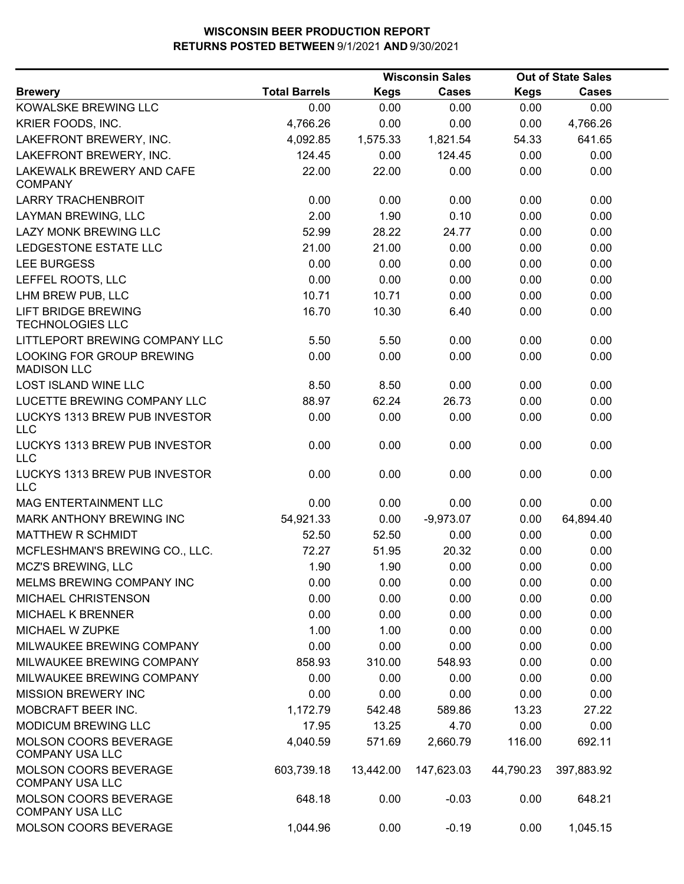|                                                        |                      |             | <b>Wisconsin Sales</b> |             | <b>Out of State Sales</b> |  |
|--------------------------------------------------------|----------------------|-------------|------------------------|-------------|---------------------------|--|
| <b>Brewery</b>                                         | <b>Total Barrels</b> | <b>Kegs</b> | <b>Cases</b>           | <b>Kegs</b> | <b>Cases</b>              |  |
| KOWALSKE BREWING LLC                                   | 0.00                 | 0.00        | 0.00                   | 0.00        | 0.00                      |  |
| KRIER FOODS, INC.                                      | 4,766.26             | 0.00        | 0.00                   | 0.00        | 4,766.26                  |  |
| LAKEFRONT BREWERY, INC.                                | 4,092.85             | 1,575.33    | 1,821.54               | 54.33       | 641.65                    |  |
| LAKEFRONT BREWERY, INC.                                | 124.45               | 0.00        | 124.45                 | 0.00        | 0.00                      |  |
| LAKEWALK BREWERY AND CAFE<br><b>COMPANY</b>            | 22.00                | 22.00       | 0.00                   | 0.00        | 0.00                      |  |
| <b>LARRY TRACHENBROIT</b>                              | 0.00                 | 0.00        | 0.00                   | 0.00        | 0.00                      |  |
| LAYMAN BREWING, LLC                                    | 2.00                 | 1.90        | 0.10                   | 0.00        | 0.00                      |  |
| <b>LAZY MONK BREWING LLC</b>                           | 52.99                | 28.22       | 24.77                  | 0.00        | 0.00                      |  |
| LEDGESTONE ESTATE LLC                                  | 21.00                | 21.00       | 0.00                   | 0.00        | 0.00                      |  |
| <b>LEE BURGESS</b>                                     | 0.00                 | 0.00        | 0.00                   | 0.00        | 0.00                      |  |
| LEFFEL ROOTS, LLC                                      | 0.00                 | 0.00        | 0.00                   | 0.00        | 0.00                      |  |
| LHM BREW PUB, LLC                                      | 10.71                | 10.71       | 0.00                   | 0.00        | 0.00                      |  |
| <b>LIFT BRIDGE BREWING</b><br><b>TECHNOLOGIES LLC</b>  | 16.70                | 10.30       | 6.40                   | 0.00        | 0.00                      |  |
| LITTLEPORT BREWING COMPANY LLC                         | 5.50                 | 5.50        | 0.00                   | 0.00        | 0.00                      |  |
| LOOKING FOR GROUP BREWING<br><b>MADISON LLC</b>        | 0.00                 | 0.00        | 0.00                   | 0.00        | 0.00                      |  |
| <b>LOST ISLAND WINE LLC</b>                            | 8.50                 | 8.50        | 0.00                   | 0.00        | 0.00                      |  |
| LUCETTE BREWING COMPANY LLC                            | 88.97                | 62.24       | 26.73                  | 0.00        | 0.00                      |  |
| LUCKYS 1313 BREW PUB INVESTOR<br>LLC                   | 0.00                 | 0.00        | 0.00                   | 0.00        | 0.00                      |  |
| LUCKYS 1313 BREW PUB INVESTOR<br><b>LLC</b>            | 0.00                 | 0.00        | 0.00                   | 0.00        | 0.00                      |  |
| LUCKYS 1313 BREW PUB INVESTOR<br><b>LLC</b>            | 0.00                 | 0.00        | 0.00                   | 0.00        | 0.00                      |  |
| MAG ENTERTAINMENT LLC                                  | 0.00                 | 0.00        | 0.00                   | 0.00        | 0.00                      |  |
| MARK ANTHONY BREWING INC                               | 54,921.33            | 0.00        | $-9,973.07$            | 0.00        | 64,894.40                 |  |
| <b>MATTHEW R SCHMIDT</b>                               | 52.50                | 52.50       | 0.00                   | 0.00        | 0.00                      |  |
| MCFLESHMAN'S BREWING CO., LLC.                         | 72.27                | 51.95       | 20.32                  | 0.00        | 0.00                      |  |
| MCZ'S BREWING, LLC                                     | 1.90                 | 1.90        | 0.00                   | 0.00        | 0.00                      |  |
| MELMS BREWING COMPANY INC                              | 0.00                 | 0.00        | 0.00                   | 0.00        | 0.00                      |  |
| MICHAEL CHRISTENSON                                    | 0.00                 | 0.00        | 0.00                   | 0.00        | 0.00                      |  |
| <b>MICHAEL K BRENNER</b>                               | 0.00                 | 0.00        | 0.00                   | 0.00        | 0.00                      |  |
| MICHAEL W ZUPKE                                        | 1.00                 | 1.00        | 0.00                   | 0.00        | 0.00                      |  |
| MILWAUKEE BREWING COMPANY                              | 0.00                 | 0.00        | 0.00                   | 0.00        | 0.00                      |  |
| MILWAUKEE BREWING COMPANY                              | 858.93               | 310.00      | 548.93                 | 0.00        | 0.00                      |  |
| MILWAUKEE BREWING COMPANY                              | 0.00                 | 0.00        | 0.00                   | 0.00        | 0.00                      |  |
| <b>MISSION BREWERY INC</b>                             | 0.00                 | 0.00        | 0.00                   | 0.00        | 0.00                      |  |
| MOBCRAFT BEER INC.                                     | 1,172.79             | 542.48      | 589.86                 | 13.23       | 27.22                     |  |
| <b>MODICUM BREWING LLC</b>                             | 17.95                | 13.25       | 4.70                   | 0.00        | 0.00                      |  |
| MOLSON COORS BEVERAGE<br><b>COMPANY USA LLC</b>        | 4,040.59             | 571.69      | 2,660.79               | 116.00      | 692.11                    |  |
| <b>MOLSON COORS BEVERAGE</b><br><b>COMPANY USA LLC</b> | 603,739.18           | 13,442.00   | 147,623.03             | 44,790.23   | 397,883.92                |  |
| <b>MOLSON COORS BEVERAGE</b><br><b>COMPANY USA LLC</b> | 648.18               | 0.00        | $-0.03$                | 0.00        | 648.21                    |  |
| MOLSON COORS BEVERAGE                                  | 1,044.96             | 0.00        | $-0.19$                | 0.00        | 1,045.15                  |  |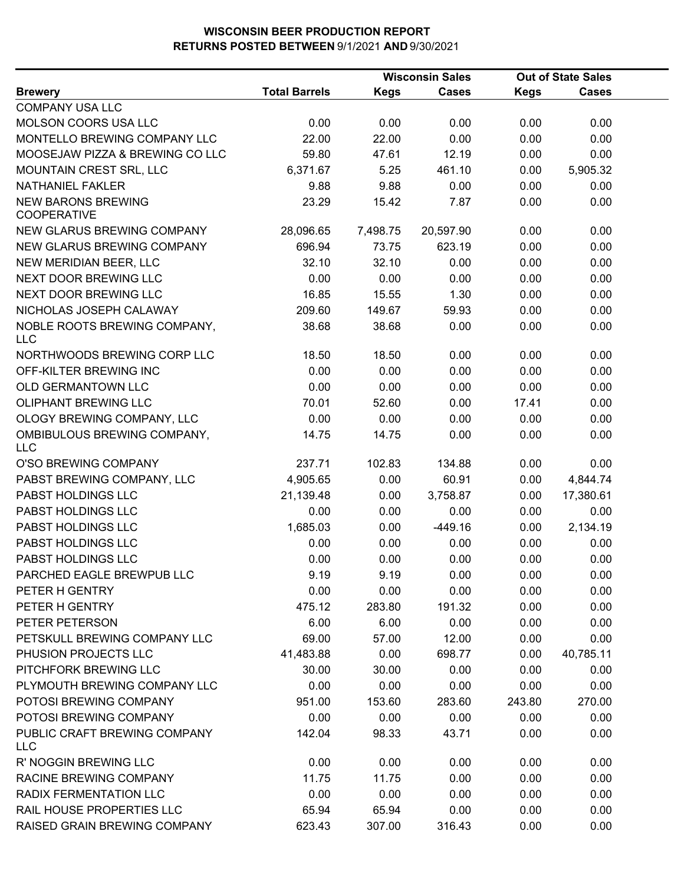|                                                 |                      | <b>Out of State Sales</b> |              |             |              |  |
|-------------------------------------------------|----------------------|---------------------------|--------------|-------------|--------------|--|
| <b>Brewery</b>                                  | <b>Total Barrels</b> | <b>Kegs</b>               | <b>Cases</b> | <b>Kegs</b> | <b>Cases</b> |  |
| <b>COMPANY USA LLC</b>                          |                      |                           |              |             |              |  |
| MOLSON COORS USA LLC                            | 0.00                 | 0.00                      | 0.00         | 0.00        | 0.00         |  |
| MONTELLO BREWING COMPANY LLC                    | 22.00                | 22.00                     | 0.00         | 0.00        | 0.00         |  |
| MOOSEJAW PIZZA & BREWING CO LLC                 | 59.80                | 47.61                     | 12.19        | 0.00        | 0.00         |  |
| MOUNTAIN CREST SRL, LLC                         | 6,371.67             | 5.25                      | 461.10       | 0.00        | 5,905.32     |  |
| NATHANIEL FAKLER                                | 9.88                 | 9.88                      | 0.00         | 0.00        | 0.00         |  |
| <b>NEW BARONS BREWING</b><br><b>COOPERATIVE</b> | 23.29                | 15.42                     | 7.87         | 0.00        | 0.00         |  |
| NEW GLARUS BREWING COMPANY                      | 28,096.65            | 7,498.75                  | 20,597.90    | 0.00        | 0.00         |  |
| NEW GLARUS BREWING COMPANY                      | 696.94               | 73.75                     | 623.19       | 0.00        | 0.00         |  |
| NEW MERIDIAN BEER, LLC                          | 32.10                | 32.10                     | 0.00         | 0.00        | 0.00         |  |
| NEXT DOOR BREWING LLC                           | 0.00                 | 0.00                      | 0.00         | 0.00        | 0.00         |  |
| NEXT DOOR BREWING LLC                           | 16.85                | 15.55                     | 1.30         | 0.00        | 0.00         |  |
| NICHOLAS JOSEPH CALAWAY                         | 209.60               | 149.67                    | 59.93        | 0.00        | 0.00         |  |
| NOBLE ROOTS BREWING COMPANY,<br><b>LLC</b>      | 38.68                | 38.68                     | 0.00         | 0.00        | 0.00         |  |
| NORTHWOODS BREWING CORP LLC                     | 18.50                | 18.50                     | 0.00         | 0.00        | 0.00         |  |
| OFF-KILTER BREWING INC                          | 0.00                 | 0.00                      | 0.00         | 0.00        | 0.00         |  |
| <b>OLD GERMANTOWN LLC</b>                       | 0.00                 | 0.00                      | 0.00         | 0.00        | 0.00         |  |
| <b>OLIPHANT BREWING LLC</b>                     | 70.01                | 52.60                     | 0.00         | 17.41       | 0.00         |  |
| OLOGY BREWING COMPANY, LLC                      | 0.00                 | 0.00                      | 0.00         | 0.00        | 0.00         |  |
| OMBIBULOUS BREWING COMPANY,<br><b>LLC</b>       | 14.75                | 14.75                     | 0.00         | 0.00        | 0.00         |  |
| O'SO BREWING COMPANY                            | 237.71               | 102.83                    | 134.88       | 0.00        | 0.00         |  |
| PABST BREWING COMPANY, LLC                      | 4,905.65             | 0.00                      | 60.91        | 0.00        | 4,844.74     |  |
| PABST HOLDINGS LLC                              | 21,139.48            | 0.00                      | 3,758.87     | 0.00        | 17,380.61    |  |
| PABST HOLDINGS LLC                              | 0.00                 | 0.00                      | 0.00         | 0.00        | 0.00         |  |
| PABST HOLDINGS LLC                              | 1,685.03             | 0.00                      | $-449.16$    | 0.00        | 2,134.19     |  |
| PABST HOLDINGS LLC                              | 0.00                 | 0.00                      | 0.00         | 0.00        | 0.00         |  |
| PABST HOLDINGS LLC                              | 0.00                 | 0.00                      | 0.00         | 0.00        | 0.00         |  |
| PARCHED EAGLE BREWPUB LLC                       | 9.19                 | 9.19                      | 0.00         | 0.00        | 0.00         |  |
| PETER H GENTRY                                  | 0.00                 | 0.00                      | 0.00         | 0.00        | 0.00         |  |
| PETER H GENTRY                                  | 475.12               | 283.80                    | 191.32       | 0.00        | 0.00         |  |
| PETER PETERSON                                  | 6.00                 | 6.00                      | 0.00         | 0.00        | 0.00         |  |
| PETSKULL BREWING COMPANY LLC                    | 69.00                | 57.00                     | 12.00        | 0.00        | 0.00         |  |
| PHUSION PROJECTS LLC                            | 41,483.88            | 0.00                      | 698.77       | 0.00        | 40,785.11    |  |
| PITCHFORK BREWING LLC                           | 30.00                | 30.00                     | 0.00         | 0.00        | 0.00         |  |
| PLYMOUTH BREWING COMPANY LLC                    | 0.00                 | 0.00                      | 0.00         | 0.00        | 0.00         |  |
| POTOSI BREWING COMPANY                          | 951.00               | 153.60                    | 283.60       | 243.80      | 270.00       |  |
| POTOSI BREWING COMPANY                          | 0.00                 | 0.00                      | 0.00         | 0.00        | 0.00         |  |
| PUBLIC CRAFT BREWING COMPANY<br><b>LLC</b>      | 142.04               | 98.33                     | 43.71        | 0.00        | 0.00         |  |
| R' NOGGIN BREWING LLC                           | 0.00                 | 0.00                      | 0.00         | 0.00        | 0.00         |  |
| RACINE BREWING COMPANY                          | 11.75                | 11.75                     | 0.00         | 0.00        | 0.00         |  |
| RADIX FERMENTATION LLC                          | 0.00                 | 0.00                      | 0.00         | 0.00        | 0.00         |  |
| RAIL HOUSE PROPERTIES LLC                       | 65.94                | 65.94                     | 0.00         | 0.00        | 0.00         |  |
| RAISED GRAIN BREWING COMPANY                    | 623.43               | 307.00                    | 316.43       | 0.00        | 0.00         |  |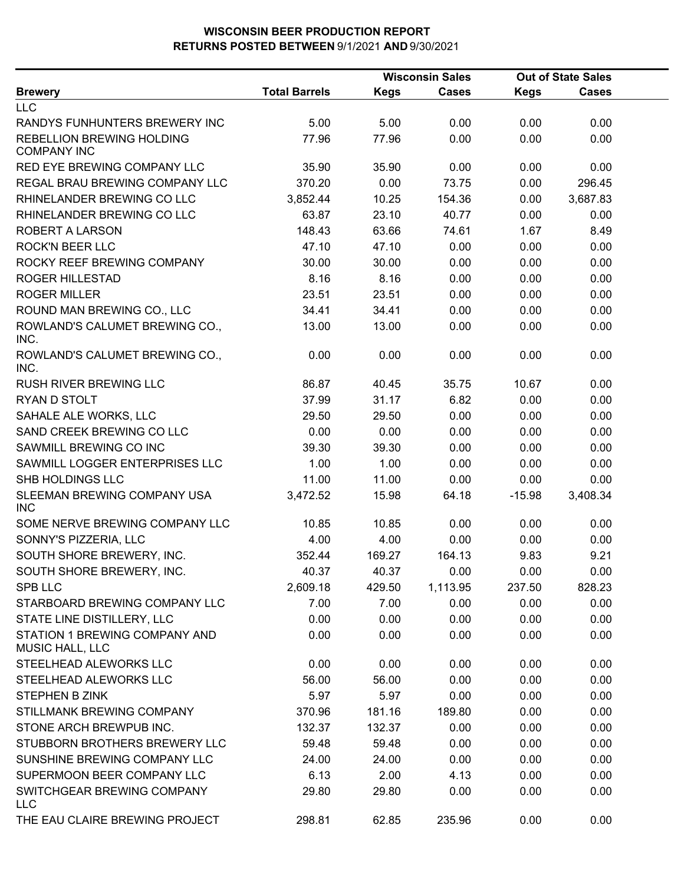|                                                  |                      |             | <b>Wisconsin Sales</b> |             | <b>Out of State Sales</b> |  |
|--------------------------------------------------|----------------------|-------------|------------------------|-------------|---------------------------|--|
| <b>Brewery</b>                                   | <b>Total Barrels</b> | <b>Kegs</b> | <b>Cases</b>           | <b>Kegs</b> | <b>Cases</b>              |  |
| <b>LLC</b>                                       |                      |             |                        |             |                           |  |
| RANDYS FUNHUNTERS BREWERY INC                    | 5.00                 | 5.00        | 0.00                   | 0.00        | 0.00                      |  |
| REBELLION BREWING HOLDING<br><b>COMPANY INC</b>  | 77.96                | 77.96       | 0.00                   | 0.00        | 0.00                      |  |
| RED EYE BREWING COMPANY LLC                      | 35.90                | 35.90       | 0.00                   | 0.00        | 0.00                      |  |
| REGAL BRAU BREWING COMPANY LLC                   | 370.20               | 0.00        | 73.75                  | 0.00        | 296.45                    |  |
| RHINELANDER BREWING CO LLC                       | 3,852.44             | 10.25       | 154.36                 | 0.00        | 3,687.83                  |  |
| RHINELANDER BREWING CO LLC                       | 63.87                | 23.10       | 40.77                  | 0.00        | 0.00                      |  |
| <b>ROBERT A LARSON</b>                           | 148.43               | 63.66       | 74.61                  | 1.67        | 8.49                      |  |
| <b>ROCK'N BEER LLC</b>                           | 47.10                | 47.10       | 0.00                   | 0.00        | 0.00                      |  |
| ROCKY REEF BREWING COMPANY                       | 30.00                | 30.00       | 0.00                   | 0.00        | 0.00                      |  |
| <b>ROGER HILLESTAD</b>                           | 8.16                 | 8.16        | 0.00                   | 0.00        | 0.00                      |  |
| <b>ROGER MILLER</b>                              | 23.51                | 23.51       | 0.00                   | 0.00        | 0.00                      |  |
| ROUND MAN BREWING CO., LLC                       | 34.41                | 34.41       | 0.00                   | 0.00        | 0.00                      |  |
| ROWLAND'S CALUMET BREWING CO.,<br>INC.           | 13.00                | 13.00       | 0.00                   | 0.00        | 0.00                      |  |
| ROWLAND'S CALUMET BREWING CO.,<br>INC.           | 0.00                 | 0.00        | 0.00                   | 0.00        | 0.00                      |  |
| RUSH RIVER BREWING LLC                           | 86.87                | 40.45       | 35.75                  | 10.67       | 0.00                      |  |
| RYAN D STOLT                                     | 37.99                | 31.17       | 6.82                   | 0.00        | 0.00                      |  |
| SAHALE ALE WORKS, LLC                            | 29.50                | 29.50       | 0.00                   | 0.00        | 0.00                      |  |
| SAND CREEK BREWING CO LLC                        | 0.00                 | 0.00        | 0.00                   | 0.00        | 0.00                      |  |
| SAWMILL BREWING CO INC                           | 39.30                | 39.30       | 0.00                   | 0.00        | 0.00                      |  |
| SAWMILL LOGGER ENTERPRISES LLC                   | 1.00                 | 1.00        | 0.00                   | 0.00        | 0.00                      |  |
| SHB HOLDINGS LLC                                 | 11.00                | 11.00       | 0.00                   | 0.00        | 0.00                      |  |
| SLEEMAN BREWING COMPANY USA<br><b>INC</b>        | 3,472.52             | 15.98       | 64.18                  | $-15.98$    | 3,408.34                  |  |
| SOME NERVE BREWING COMPANY LLC                   | 10.85                | 10.85       | 0.00                   | 0.00        | 0.00                      |  |
| SONNY'S PIZZERIA, LLC                            | 4.00                 | 4.00        | 0.00                   | 0.00        | 0.00                      |  |
| SOUTH SHORE BREWERY, INC.                        | 352.44               | 169.27      | 164.13                 | 9.83        | 9.21                      |  |
| SOUTH SHORE BREWERY, INC.                        | 40.37                | 40.37       | 0.00                   | 0.00        | 0.00                      |  |
| SPB LLC                                          | 2,609.18             | 429.50      | 1,113.95               | 237.50      | 828.23                    |  |
| STARBOARD BREWING COMPANY LLC                    | 7.00                 | 7.00        | 0.00                   | 0.00        | 0.00                      |  |
| STATE LINE DISTILLERY, LLC                       | 0.00                 | 0.00        | 0.00                   | 0.00        | 0.00                      |  |
| STATION 1 BREWING COMPANY AND<br>MUSIC HALL, LLC | 0.00                 | 0.00        | 0.00                   | 0.00        | 0.00                      |  |
| STEELHEAD ALEWORKS LLC                           | 0.00                 | 0.00        | 0.00                   | 0.00        | 0.00                      |  |
| STEELHEAD ALEWORKS LLC                           | 56.00                | 56.00       | 0.00                   | 0.00        | 0.00                      |  |
| <b>STEPHEN B ZINK</b>                            | 5.97                 | 5.97        | 0.00                   | 0.00        | 0.00                      |  |
| STILLMANK BREWING COMPANY                        | 370.96               | 181.16      | 189.80                 | 0.00        | 0.00                      |  |
| STONE ARCH BREWPUB INC.                          | 132.37               | 132.37      | 0.00                   | 0.00        | 0.00                      |  |
| STUBBORN BROTHERS BREWERY LLC                    | 59.48                | 59.48       | 0.00                   | 0.00        | 0.00                      |  |
| SUNSHINE BREWING COMPANY LLC                     | 24.00                | 24.00       | 0.00                   | 0.00        | 0.00                      |  |
| SUPERMOON BEER COMPANY LLC                       | 6.13                 | 2.00        | 4.13                   | 0.00        | 0.00                      |  |
| SWITCHGEAR BREWING COMPANY<br><b>LLC</b>         | 29.80                | 29.80       | 0.00                   | 0.00        | 0.00                      |  |
| THE EAU CLAIRE BREWING PROJECT                   | 298.81               | 62.85       | 235.96                 | 0.00        | 0.00                      |  |